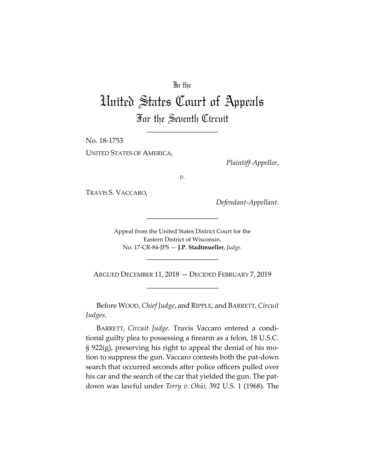## In the

## United States Court of Appeals For the Seventh Circuit

\_\_\_\_\_\_\_\_\_\_\_\_\_\_\_\_\_\_\_\_

No. 18‐1753 UNITED STATES OF AMERICA,

*Plaintiff‐Appellee*,

*v.*

TRAVIS S. VACCARO,

*Defendant‐Appellant*.

Appeal from the United States District Court for the Eastern District of Wisconsin. No. 17‐CR‐84‐JPS — **J.P. Stadtmueller**, *Judge*.

\_\_\_\_\_\_\_\_\_\_\_\_\_\_\_\_\_\_\_\_

ARGUED DECEMBER 11, 2018 — DECIDED FEBRUARY 7, 2019 \_\_\_\_\_\_\_\_\_\_\_\_\_\_\_\_\_\_\_\_

\_\_\_\_\_\_\_\_\_\_\_\_\_\_\_\_\_\_\_\_

Before WOOD, *Chief Judge*, and RIPPLE, and BARRETT, *Circuit Judges*.

BARRETT, *Circuit Judge*. Travis Vaccaro entered a condi‐ tional guilty plea to possessing a firearm as a felon, 18 U.S.C.  $\S 922(g)$ , preserving his right to appeal the denial of his motion to suppress the gun. Vaccaro contests both the pat‐down search that occurred seconds after police officers pulled over his car and the search of the car that yielded the gun. The patdown was lawful under *Terry v. Ohio*, 392 U.S. 1 (1968). The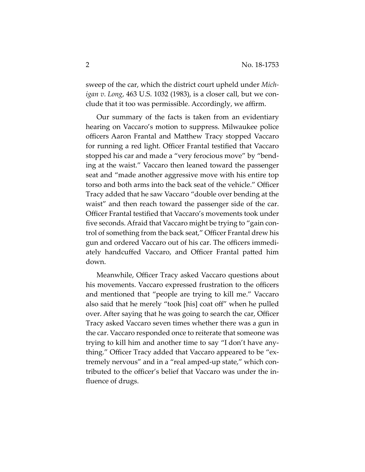sweep of the car, which the district court upheld under *Mich‐ igan v. Long*, 463 U.S. 1032 (1983), is a closer call, but we con‐ clude that it too was permissible. Accordingly, we affirm.

Our summary of the facts is taken from an evidentiary hearing on Vaccaro's motion to suppress. Milwaukee police officers Aaron Frantal and Matthew Tracy stopped Vaccaro for running a red light. Officer Frantal testified that Vaccaro stopped his car and made a "very ferocious move" by "bend‐ ing at the waist." Vaccaro then leaned toward the passenger seat and "made another aggressive move with his entire top torso and both arms into the back seat of the vehicle." Officer Tracy added that he saw Vaccaro "double over bending at the waist" and then reach toward the passenger side of the car. Officer Frantal testified that Vaccaro's movements took under five seconds. Afraid that Vaccaro might be trying to "gain control of something from the back seat," Officer Frantal drew his gun and ordered Vaccaro out of his car. The officers immedi‐ ately handcuffed Vaccaro, and Officer Frantal patted him down.

Meanwhile, Officer Tracy asked Vaccaro questions about his movements. Vaccaro expressed frustration to the officers and mentioned that "people are trying to kill me." Vaccaro also said that he merely "took [his] coat off" when he pulled over. After saying that he was going to search the car, Officer Tracy asked Vaccaro seven times whether there was a gun in the car. Vaccaro responded once to reiterate that someone was trying to kill him and another time to say "I don't have any‐ thing." Officer Tracy added that Vaccaro appeared to be "ex‐ tremely nervous" and in a "real amped‐up state," which con‐ tributed to the officer's belief that Vaccaro was under the in‐ fluence of drugs.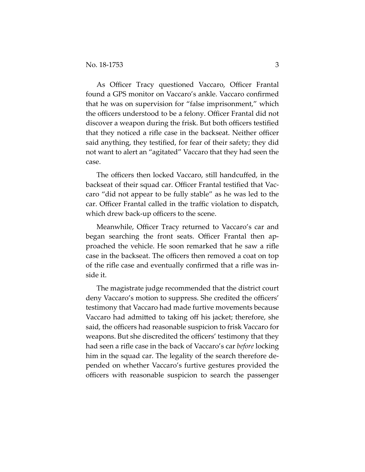As Officer Tracy questioned Vaccaro, Officer Frantal found a GPS monitor on Vaccaro's ankle. Vaccaro confirmed that he was on supervision for "false imprisonment," which the officers understood to be a felony. Officer Frantal did not discover a weapon during the frisk. But both officers testified that they noticed a rifle case in the backseat. Neither officer said anything, they testified, for fear of their safety; they did not want to alert an "agitated" Vaccaro that they had seen the case.

The officers then locked Vaccaro, still handcuffed, in the backseat of their squad car. Officer Frantal testified that Vac‐ caro "did not appear to be fully stable" as he was led to the car. Officer Frantal called in the traffic violation to dispatch, which drew back-up officers to the scene.

Meanwhile, Officer Tracy returned to Vaccaro's car and began searching the front seats. Officer Frantal then ap‐ proached the vehicle. He soon remarked that he saw a rifle case in the backseat. The officers then removed a coat on top of the rifle case and eventually confirmed that a rifle was in‐ side it.

The magistrate judge recommended that the district court deny Vaccaro's motion to suppress. She credited the officers' testimony that Vaccaro had made furtive movements because Vaccaro had admitted to taking off his jacket; therefore, she said, the officers had reasonable suspicion to frisk Vaccaro for weapons. But she discredited the officers' testimony that they had seen a rifle case in the back of Vaccaro's car *before* locking him in the squad car. The legality of the search therefore de‐ pended on whether Vaccaro's furtive gestures provided the officers with reasonable suspicion to search the passenger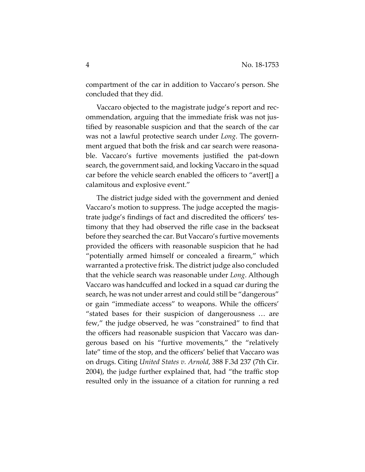compartment of the car in addition to Vaccaro's person. She concluded that they did.

Vaccaro objected to the magistrate judge's report and rec‐ ommendation, arguing that the immediate frisk was not jus‐ tified by reasonable suspicion and that the search of the car was not a lawful protective search under *Long*. The govern‐ ment argued that both the frisk and car search were reasona‐ ble. Vaccaro's furtive movements justified the pat‐down search, the government said, and locking Vaccaro in the squad car before the vehicle search enabled the officers to "avert[] a calamitous and explosive event."

The district judge sided with the government and denied Vaccaro's motion to suppress. The judge accepted the magis‐ trate judge's findings of fact and discredited the officers' tes‐ timony that they had observed the rifle case in the backseat before they searched the car. But Vaccaro's furtive movements provided the officers with reasonable suspicion that he had "potentially armed himself or concealed a firearm," which warranted a protective frisk. The district judge also concluded that the vehicle search was reasonable under *Long*. Although Vaccaro was handcuffed and locked in a squad car during the search, he was not under arrest and could still be "dangerous" or gain "immediate access" to weapons. While the officers' "stated bases for their suspicion of dangerousness … are few," the judge observed, he was "constrained" to find that the officers had reasonable suspicion that Vaccaro was dan‐ gerous based on his "furtive movements," the "relatively late" time of the stop, and the officers' belief that Vaccaro was on drugs. Citing *United States v. Arnold*, 388 F.3d 237 (7th Cir. 2004), the judge further explained that, had "the traffic stop resulted only in the issuance of a citation for running a red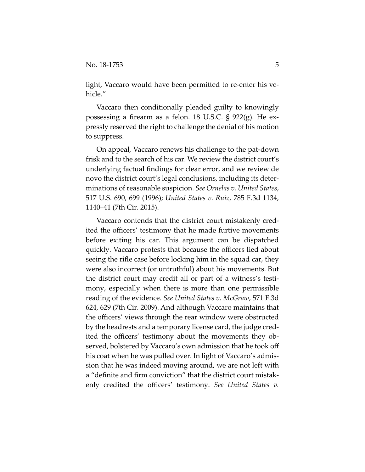light, Vaccaro would have been permitted to re‐enter his ve‐ hicle."

Vaccaro then conditionally pleaded guilty to knowingly possessing a firearm as a felon. 18 U.S.C. § 922(g). He ex‐ pressly reserved the right to challenge the denial of his motion to suppress.

On appeal, Vaccaro renews his challenge to the pat‐down frisk and to the search of his car. We review the district court's underlying factual findings for clear error, and we review de novo the district court's legal conclusions, including its deter‐ minations of reasonable suspicion. *See Ornelas v. United States*, 517 U.S. 690, 699 (1996); *United States v. Ruiz*, 785 F.3d 1134, 1140–41 (7th Cir. 2015).

Vaccaro contends that the district court mistakenly cred‐ ited the officers' testimony that he made furtive movements before exiting his car. This argument can be dispatched quickly. Vaccaro protests that because the officers lied about seeing the rifle case before locking him in the squad car, they were also incorrect (or untruthful) about his movements. But the district court may credit all or part of a witness's testimony, especially when there is more than one permissible reading of the evidence. *See United States v. McGraw*, 571 F.3d 624, 629 (7th Cir. 2009). And although Vaccaro maintains that the officers' views through the rear window were obstructed by the headrests and a temporary license card, the judge cred‐ ited the officers' testimony about the movements they ob‐ served, bolstered by Vaccaro's own admission that he took off his coat when he was pulled over. In light of Vaccaro's admission that he was indeed moving around, we are not left with a "definite and firm conviction" that the district court mistak‐ enly credited the officers' testimony. *See United States v.*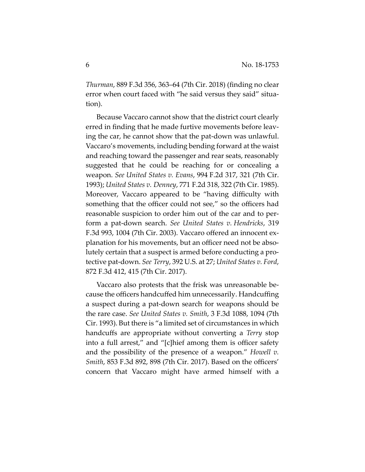*Thurman*, 889 F.3d 356, 363–64 (7th Cir. 2018) (finding no clear error when court faced with "he said versus they said" situa‐ tion).

Because Vaccaro cannot show that the district court clearly erred in finding that he made furtive movements before leav‐ ing the car, he cannot show that the pat‐down was unlawful. Vaccaro's movements, including bending forward at the waist and reaching toward the passenger and rear seats, reasonably suggested that he could be reaching for or concealing a weapon. *See United States v. Evans*, 994 F.2d 317, 321 (7th Cir. 1993); *United States v. Denney*, 771 F.2d 318, 322 (7th Cir. 1985). Moreover, Vaccaro appeared to be "having difficulty with something that the officer could not see," so the officers had reasonable suspicion to order him out of the car and to per‐ form a pat‐down search. *See United States v. Hendricks*, 319 F.3d 993, 1004 (7th Cir. 2003). Vaccaro offered an innocent ex‐ planation for his movements, but an officer need not be absolutely certain that a suspect is armed before conducting a pro‐ tective pat‐down. *See Terry*, 392 U.S. at 27; *United States v. Ford*, 872 F.3d 412, 415 (7th Cir. 2017).

Vaccaro also protests that the frisk was unreasonable be‐ cause the officers handcuffed him unnecessarily. Handcuffing a suspect during a pat‐down search for weapons should be the rare case. *See United States v. Smith*, 3 F.3d 1088, 1094 (7th Cir. 1993). But there is "a limited set of circumstances in which handcuffs are appropriate without converting a *Terry* stop into a full arrest," and "[c]hief among them is officer safety and the possibility of the presence of a weapon." *Howell v. Smith*, 853 F.3d 892, 898 (7th Cir. 2017). Based on the officers' concern that Vaccaro might have armed himself with a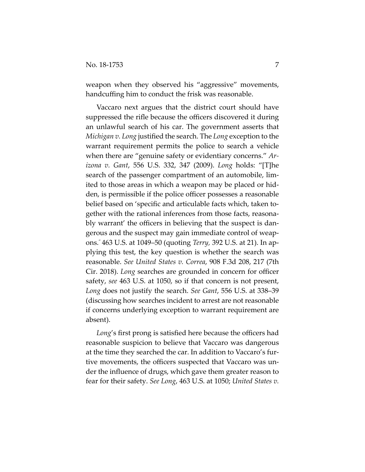weapon when they observed his "aggressive" movements, handcuffing him to conduct the frisk was reasonable.

Vaccaro next argues that the district court should have suppressed the rifle because the officers discovered it during an unlawful search of his car. The government asserts that *Michigan v. Long* justified the search. The *Long* exception to the warrant requirement permits the police to search a vehicle when there are "genuine safety or evidentiary concerns." *Ar‐ izona v. Gant*, 556 U.S. 332, 347 (2009). *Long* holds: "[T]he search of the passenger compartment of an automobile, lim‐ ited to those areas in which a weapon may be placed or hid‐ den, is permissible if the police officer possesses a reasonable belief based on 'specific and articulable facts which, taken together with the rational inferences from those facts, reasona‐ bly warrant' the officers in believing that the suspect is dan‐ gerous and the suspect may gain immediate control of weap‐ ons." 463 U.S. at 1049–50 (quoting *Terry,* 392 U.S. at 21). In ap‐ plying this test, the key question is whether the search was reasonable. *See United States v. Correa*, 908 F.3d 208, 217 (7th Cir. 2018). *Long* searches are grounded in concern for officer safety, *see* 463 U.S. at 1050, so if that concern is not present, *Long* does not justify the search. *See Gant*, 556 U.S. at 338–39 (discussing how searches incident to arrest are not reasonable if concerns underlying exception to warrant requirement are absent).

*Long*'s first prong is satisfied here because the officers had reasonable suspicion to believe that Vaccaro was dangerous at the time they searched the car. In addition to Vaccaro's fur‐ tive movements, the officers suspected that Vaccaro was un‐ der the influence of drugs, which gave them greater reason to fear for their safety. *See Long*, 463 U.S. at 1050; *United States v.*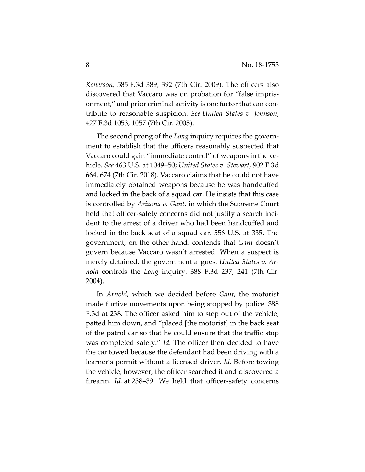*Kenerson*, 585 F.3d 389, 392 (7th Cir. 2009). The officers also discovered that Vaccaro was on probation for "false impris‐ onment," and prior criminal activity is one factor that can contribute to reasonable suspicion. *See United States v. Johnson*, 427 F.3d 1053, 1057 (7th Cir. 2005).

The second prong of the *Long* inquiry requires the government to establish that the officers reasonably suspected that Vaccaro could gain "immediate control" of weapons in the ve‐ hicle. *See* 463 U.S. at 1049–50; *United States v. Stewart*, 902 F.3d 664, 674 (7th Cir. 2018). Vaccaro claims that he could not have immediately obtained weapons because he was handcuffed and locked in the back of a squad car. He insists that this case is controlled by *Arizona v. Gant*, in which the Supreme Court held that officer-safety concerns did not justify a search incident to the arrest of a driver who had been handcuffed and locked in the back seat of a squad car. 556 U.S. at 335. The government, on the other hand, contends that *Gant* doesn't govern because Vaccaro wasn't arrested. When a suspect is merely detained, the government argues, *United States v. Ar‐ nold* controls the *Long* inquiry. 388 F.3d 237, 241 (7th Cir. 2004).

In *Arnold*, which we decided before *Gant*, the motorist made furtive movements upon being stopped by police. 388 F.3d at 238. The officer asked him to step out of the vehicle, patted him down, and "placed [the motorist] in the back seat of the patrol car so that he could ensure that the traffic stop was completed safely." *Id.* The officer then decided to have the car towed because the defendant had been driving with a learner's permit without a licensed driver. *Id.* Before towing the vehicle, however, the officer searched it and discovered a firearm. *Id.* at 238–39. We held that officer-safety concerns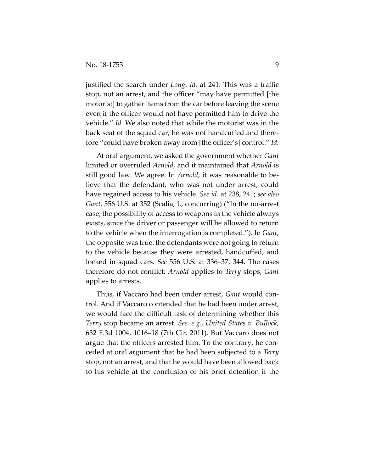justified the search under *Long*. *Id.* at 241. This was a traffic stop, not an arrest, and the officer "may have permitted [the motorist] to gather items from the car before leaving the scene even if the officer would not have permitted him to drive the vehicle." *Id.* We also noted that while the motorist was in the back seat of the squad car, he was not handcuffed and there‐ fore "could have broken away from [the officer's] control." *Id.*

At oral argument, we asked the government whether *Gant* limited or overruled *Arnold*, and it maintained that *Arnold* is still good law. We agree. In *Arnold*, it was reasonable to be‐ lieve that the defendant, who was not under arrest, could have regained access to his vehicle. *See id*. at 238, 241; *see also Gant*, 556 U.S. at 352 (Scalia, J., concurring) ("In the no‐arrest case, the possibility of access to weapons in the vehicle always exists, since the driver or passenger will be allowed to return to the vehicle when the interrogation is completed."). In *Gant*, the opposite was true: the defendants were not going to return to the vehicle because they were arrested, handcuffed, and locked in squad cars. *See* 556 U.S. at 336–37, 344. The cases therefore do not conflict: *Arnold* applies to *Terry* stops; *Gant* applies to arrests.

Thus, if Vaccaro had been under arrest, *Gant* would con‐ trol. And if Vaccaro contended that he had been under arrest, we would face the difficult task of determining whether this *Terry* stop became an arrest. *See, e.g.*, *United States v. Bullock*, 632 F.3d 1004, 1016–18 (7th Cir. 2011). But Vaccaro does not argue that the officers arrested him. To the contrary, he con‐ ceded at oral argument that he had been subjected to a *Terry* stop, not an arrest, and that he would have been allowed back to his vehicle at the conclusion of his brief detention if the